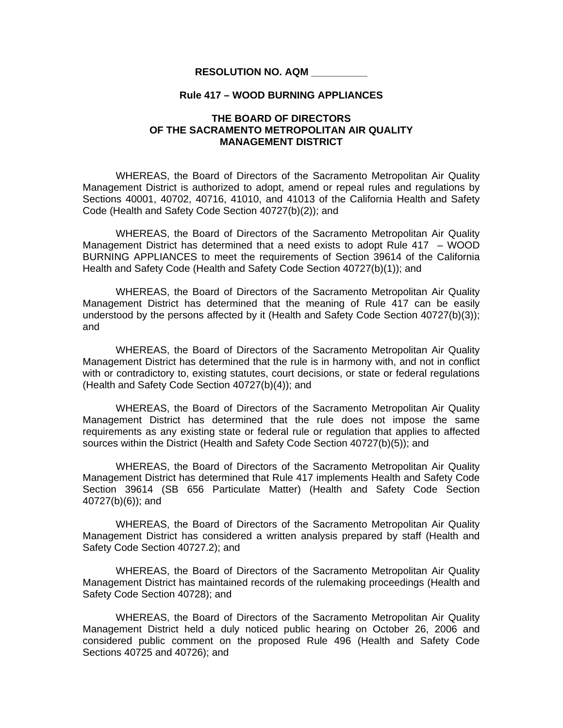## **RESOLUTION NO. AQM \_\_\_\_\_\_\_\_\_\_**

## **Rule 417 – WOOD BURNING APPLIANCES**

## **THE BOARD OF DIRECTORS OF THE SACRAMENTO METROPOLITAN AIR QUALITY MANAGEMENT DISTRICT**

 WHEREAS, the Board of Directors of the Sacramento Metropolitan Air Quality Management District is authorized to adopt, amend or repeal rules and regulations by Sections 40001, 40702, 40716, 41010, and 41013 of the California Health and Safety Code (Health and Safety Code Section 40727(b)(2)); and

WHEREAS, the Board of Directors of the Sacramento Metropolitan Air Quality Management District has determined that a need exists to adopt Rule 417 – WOOD BURNING APPLIANCES to meet the requirements of Section 39614 of the California Health and Safety Code (Health and Safety Code Section 40727(b)(1)); and

 WHEREAS, the Board of Directors of the Sacramento Metropolitan Air Quality Management District has determined that the meaning of Rule 417 can be easily understood by the persons affected by it (Health and Safety Code Section 40727(b)(3)); and

 WHEREAS, the Board of Directors of the Sacramento Metropolitan Air Quality Management District has determined that the rule is in harmony with, and not in conflict with or contradictory to, existing statutes, court decisions, or state or federal regulations (Health and Safety Code Section 40727(b)(4)); and

 WHEREAS, the Board of Directors of the Sacramento Metropolitan Air Quality Management District has determined that the rule does not impose the same requirements as any existing state or federal rule or regulation that applies to affected sources within the District (Health and Safety Code Section 40727(b)(5)); and

 WHEREAS, the Board of Directors of the Sacramento Metropolitan Air Quality Management District has determined that Rule 417 implements Health and Safety Code Section 39614 (SB 656 Particulate Matter) (Health and Safety Code Section 40727(b)(6)); and

WHEREAS, the Board of Directors of the Sacramento Metropolitan Air Quality Management District has considered a written analysis prepared by staff (Health and Safety Code Section 40727.2); and

WHEREAS, the Board of Directors of the Sacramento Metropolitan Air Quality Management District has maintained records of the rulemaking proceedings (Health and Safety Code Section 40728); and

 WHEREAS, the Board of Directors of the Sacramento Metropolitan Air Quality Management District held a duly noticed public hearing on October 26, 2006 and considered public comment on the proposed Rule 496 (Health and Safety Code Sections 40725 and 40726); and